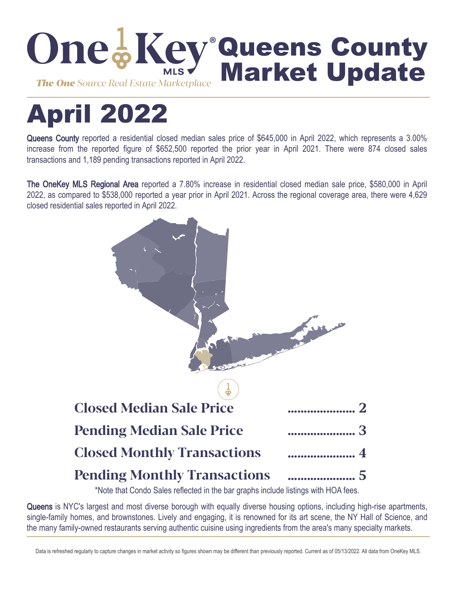

# April 2022

Queens County reported a residential closed median sales price of \$645,000 in April 2022, which represents a 3.00% increase from the reported figure of \$652,500 reported the prior year in April 2021. There were 874 closed sales transactions and 1,189 pending transactions reported in April 2022.

The OneKey MLS Regional Area reported a 7.80% increase in residential closed median sale price, \$580,000 in April 2022, as compared to \$538,000 reported a year prior in April 2021. Across the regional coverage area, there were 4,629 closed residential sales reported in April 2022.



\*Note that Condo Sales reflected in the bar graphs include listings with HOA fees.

Queens is NYC's largest and most diverse borough with equally diverse housing options, including high-rise apartments, single-family homes, and brownstones. Lively and engaging, it is renowned for its art scene, the NY Hall of Science, and the many family-owned restaurants serving authentic cuisine using ingredients from the area's many specialty markets.

Data is refreshed regularly to capture changes in market activity so figures shown may be different than previously reported. Current as of 05/13/2022. All data from OneKey MLS.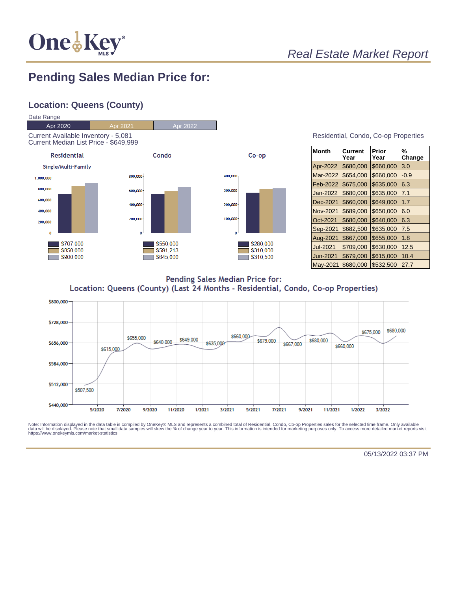

## **Pending Sales Median Price for:**

#### **Location: Queens (County)**



#### Residential, Condo, Co-op Properties

| <b>Month</b>    | Current<br>Year | Prior<br>Year | %<br>Change |
|-----------------|-----------------|---------------|-------------|
| Apr-2022        | \$680,000       | \$660,000     | 3.0         |
| Mar-2022        | \$654,000       | \$660,000     | $-0.9$      |
| Feb-2022        | \$675,000       | \$635,000     | 6.3         |
| Jan-2022        | \$680,000       | \$635,000     | 7.1         |
| Dec-2021        | \$660,000       | \$649,000     | 1.7         |
| Nov-2021        | \$689,000       | \$650,000     | 6.0         |
| Oct-2021        | \$680,000       | \$640,000     | 6.3         |
| Sep-2021        | \$682,500       | \$635,000     | 7.5         |
| Aug-2021        | \$667,000       | \$655,000     | 1.8         |
| <b>Jul-2021</b> | \$709,000       | \$630,000     | 12.5        |
| Jun-2021        | \$679,000       | \$615,000     | 10.4        |
| May-2021        | \$680,000       | \$532,500     | 27.7        |

Pending Sales Median Price for: Location: Queens (County) (Last 24 Months - Residential, Condo, Co-op Properties)



Note: Information displayed in the data table is compiled by OneKey® MLS and represents a combined total of Residential, Condo, Co-op Properties sales for the selected time frame. Only available<br>data will be displayed. Pl

05/13/2022 03:37 PM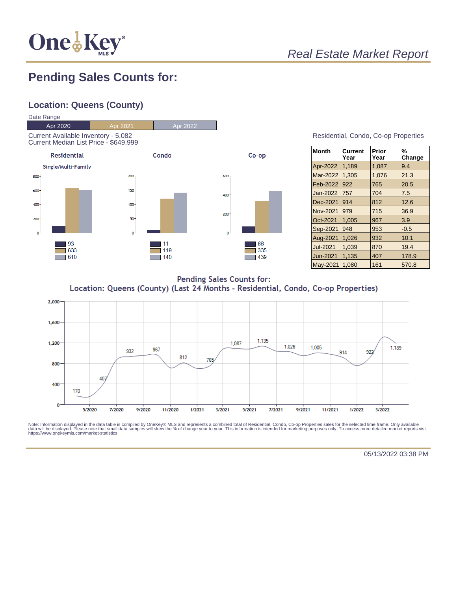

## **Pending Sales Counts for:**

#### **Location: Queens (County)**



| Residential, Condo, Co-op Properties |  |  |
|--------------------------------------|--|--|
|                                      |  |  |

| <b>Month</b>    | Current<br>Year | Prior<br>Year | %<br>Change |
|-----------------|-----------------|---------------|-------------|
| Apr-2022        | 1,189           | 1,087         | 9.4         |
| Mar-2022        | 1,305           | 1,076         | 21.3        |
| Feb-2022        | 922             | 765           | 20.5        |
| Jan-2022        | 757             | 704           | 7.5         |
| Dec-2021        | 914             | 812           | 12.6        |
| Nov-2021        | 979             | 715           | 36.9        |
| Oct-2021        | 1,005           | 967           | 3.9         |
| Sep-2021        | 948             | 953           | $-0.5$      |
| Aug-2021        | 1,026           | 932           | 10.1        |
| <b>Jul-2021</b> | 1,039           | 870           | 19.4        |
| Jun-2021        | 1,135           | 407           | 178.9       |
| May-2021        | 1.080           | 161           | 570.8       |

**Pending Sales Counts for:** Location: Queens (County) (Last 24 Months - Residential, Condo, Co-op Properties)



Note: Information displayed in the data table is compiled by OneKey® MLS and represents a combined total of Residential, Condo, Co-op Properties sales for the selected time frame. Only available<br>data will be displayed. Pl

05/13/2022 03:38 PM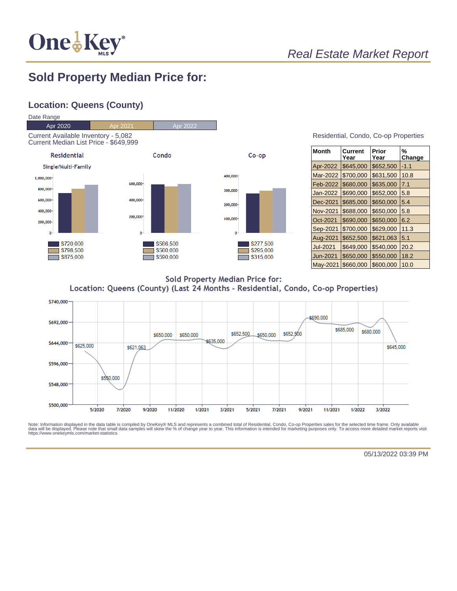

## **Sold Property Median Price for:**

#### **Location: Queens (County)**



| Month           | Current<br>Year | Prior<br>Year | %<br>Change |
|-----------------|-----------------|---------------|-------------|
| Apr-2022        | \$645,000       | \$652,500     | $-1.1$      |
| Mar-2022        | \$700,000       | \$631,500     | 10.8        |
| Feb-2022        | \$680,000       | \$635,000     | 7.1         |
| Jan-2022        | \$690,000       | \$652,000     | 5.8         |
| Dec-2021        | \$685,000       | \$650,000     | 5.4         |
| Nov-2021        | \$688,000       | \$650,000     | 5.8         |
| Oct-2021        | \$690,000       | \$650,000     | 6.2         |
| Sep-2021        | \$700,000       | \$629,000     | 11.3        |
| Aug-2021        | \$652,500       | \$621,063     | 5.1         |
| <b>Jul-2021</b> | \$649,000       | \$540,000     | 20.2        |
| Jun-2021        | \$650,000       | \$550,000     | 18.2        |
| May-2021        | \$660,000       | \$600,000     | 10.0        |

**Sold Property Median Price for:** Location: Queens (County) (Last 24 Months - Residential, Condo, Co-op Properties)



Note: Information displayed in the data table is compiled by OneKey® MLS and represents a combined total of Residential, Condo, Co-op Properties sales for the selected time frame. Only available<br>data will be displayed. Pl

05/13/2022 03:39 PM